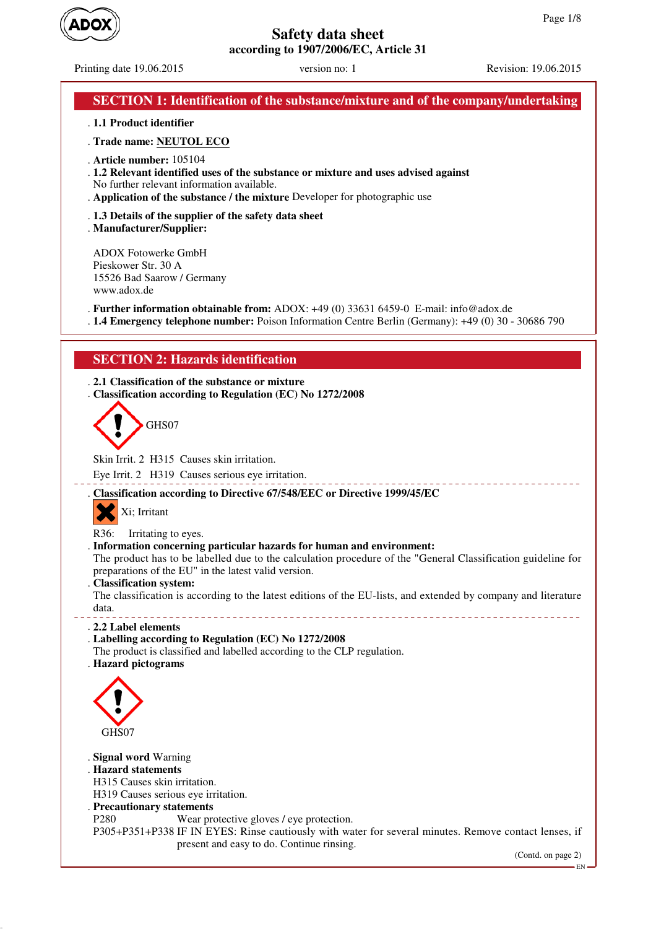

Printing date 19.06.2015 version no: 1 Revision: 19.06.2015

| <b>SECTION 1: Identification of the substance/mixture and of the company/undertaking</b>                                                                                                                                                       |
|------------------------------------------------------------------------------------------------------------------------------------------------------------------------------------------------------------------------------------------------|
| . 1.1 Product identifier                                                                                                                                                                                                                       |
| . Trade name: NEUTOL ECO                                                                                                                                                                                                                       |
| . Article number: $105104$<br>. 1.2 Relevant identified uses of the substance or mixture and uses advised against<br>No further relevant information available.<br>. Application of the substance / the mixture Developer for photographic use |
| . 1.3 Details of the supplier of the safety data sheet<br>. Manufacturer/Supplier:                                                                                                                                                             |
| $\Lambda$ DOV Eq. 1. C $\Lambda$ II                                                                                                                                                                                                            |

ADOX Fotowerke GmbH Pieskower Str. 30 A 15526 Bad Saarow / Germany www.adox.de

. **Further information obtainable from:** ADOX: +49 (0) 33631 6459-0 E-mail: info@adox.de

. **1.4 Emergency telephone number:** Poison Information Centre Berlin (Germany): +49 (0) 30 - 30686 790

# **SECTION 2: Hazards identification**

. **2.1 Classification of the substance or mixture** . **Classification according to Regulation (EC) No 1272/2008**



Skin Irrit. 2 H315 Causes skin irritation.

Eye Irrit. 2 H319 Causes serious eye irritation.

. **Classification according to Directive 67/548/EEC or Directive 1999/45/EC**

Xi; Irritant

R36: Irritating to eyes.

. **Information concerning particular hazards for human and environment:**

The product has to be labelled due to the calculation procedure of the "General Classification guideline for preparations of the EU" in the latest valid version.

. **Classification system:**

The classification is according to the latest editions of the EU-lists, and extended by company and literature data. \_\_\_\_\_\_\_\_\_\_\_\_\_\_\_\_\_\_\_\_\_\_\_\_\_

. **2.2 Label elements**

### . **Labelling according to Regulation (EC) No 1272/2008**

The product is classified and labelled according to the CLP regulation.

. **Hazard pictograms**



## . **Signal word** Warning

. **Hazard statements**

H315 Causes skin irritation.

H319 Causes serious eye irritation.

- . **Precautionary statements**
- P280 Wear protective gloves / eye protection.
- P305+P351+P338 IF IN EYES: Rinse cautiously with water for several minutes. Remove contact lenses, if present and easy to do. Continue rinsing.

(Contd. on page 2)

EN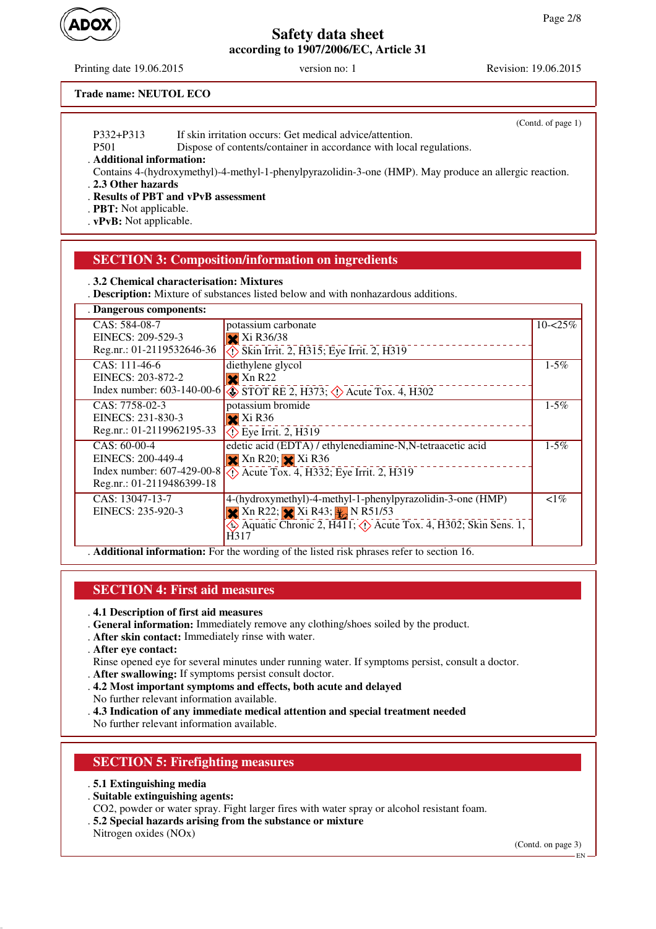Printing date 19.06.2015 version no: 1 Revision: 19.06.2015

 $(C<sub>optd</sub> of *mean* 1)$ 

### **Trade name: NEUTOL ECO**

|                           | $\text{Countu}$ . Of page 1)                                                                           |
|---------------------------|--------------------------------------------------------------------------------------------------------|
| P332+P313                 | If skin irritation occurs: Get medical advice/attention.                                               |
| P <sub>501</sub>          | Dispose of contents/container in accordance with local regulations.                                    |
| . Additional information: |                                                                                                        |
|                           | Contains 4-(hydroxymethyl)-4-methyl-1-phenylpyrazolidin-3-one (HMP). May produce an allergic reaction. |
| . 2.3 Other hazards       |                                                                                                        |

. **Results of PBT and vPvB assessment**

. **PBT:** Not applicable.

. **vPvB:** Not applicable.

## **SECTION 3: Composition/information on ingredients**

. **3.2 Chemical characterisation: Mixtures**

. **Description:** Mixture of substances listed below and with nonhazardous additions.

| . Dangerous components:   |                                                                                                        |             |
|---------------------------|--------------------------------------------------------------------------------------------------------|-------------|
| $CAS: 584-08-7$           | potassium carbonate                                                                                    | $10 - 25\%$ |
| EINECS: 209-529-3         | $X$ Xi R36/38                                                                                          |             |
| Reg.nr.: 01-2119532646-36 | $\Diamond$ Skin Irrit. 2, H315; Eye Irrit. 2, H319                                                     |             |
| $CAS: 111-46-6$           | diethylene glycol                                                                                      | $1 - 5\%$   |
| EINECS: 203-872-2         | $\mathbf{\times}$ Xn R22                                                                               |             |
|                           | Index number: 603-140-00-6 $\otimes$ STOT RE 2, H373; $\otimes$ Acute Tox. 4, H302                     |             |
| CAS: 7758-02-3            | potassium bromide                                                                                      | $1 - 5\%$   |
| EINECS: 231-830-3         | $\mathbf{\times}$ Xi R36                                                                               |             |
| Reg.nr.: 01-2119962195-33 | $\Diamond$ Eye Irrit. 2, H319                                                                          |             |
| $CAS: 60-00-4$            | edetic acid (EDTA) / ethylenediamine-N,N-tetraacetic acid                                              | $1 - 5\%$   |
| EINECS: 200-449-4         | $\mathbf{\times}$ Xn R20; $\mathbf{\times}$ Xi R36                                                     |             |
|                           | Index number: 607-429-00-8 (1) Acute Tox. 4, H332; Eye Irrit. 2, H319                                  |             |
| Reg.nr.: 01-2119486399-18 |                                                                                                        |             |
| CAS: 13047-13-7           | 4-(hydroxymethyl)-4-methyl-1-phenylpyrazolidin-3-one (HMP)                                             | $\leq 1\%$  |
| EINECS: 235-920-3         | $\times$ Xn R22; $\times$ Xi R43; $\times$ N R51/53                                                    |             |
|                           | $\leftrightarrow$ Aquatic Chronic 2, H411; $\leftrightarrow$ Acute Tox. 4, H302; Skin Sens. 1,<br>H317 |             |
|                           | A different informations For the wording of the listed right phresses refer to section 16              |             |

. **Additional information:** For the wording of the listed risk phrases refer to section 16.

#### **SECTION 4: First aid measures**

. **4.1 Description of first aid measures**

- . **General information:** Immediately remove any clothing/shoes soiled by the product.
- . **After skin contact:** Immediately rinse with water.
- . **After eye contact:**

Rinse opened eye for several minutes under running water. If symptoms persist, consult a doctor.

- . **After swallowing:** If symptoms persist consult doctor.
- . **4.2 Most important symptoms and effects, both acute and delayed**
- No further relevant information available.
- . **4.3 Indication of any immediate medical attention and special treatment needed**

No further relevant information available.

## **SECTION 5: Firefighting measures**

- . **5.1 Extinguishing media**
- . **Suitable extinguishing agents:**
- CO2, powder or water spray. Fight larger fires with water spray or alcohol resistant foam.
- . **5.2 Special hazards arising from the substance or mixture**
- Nitrogen oxides (NOx)

(Contd. on page 3)

EN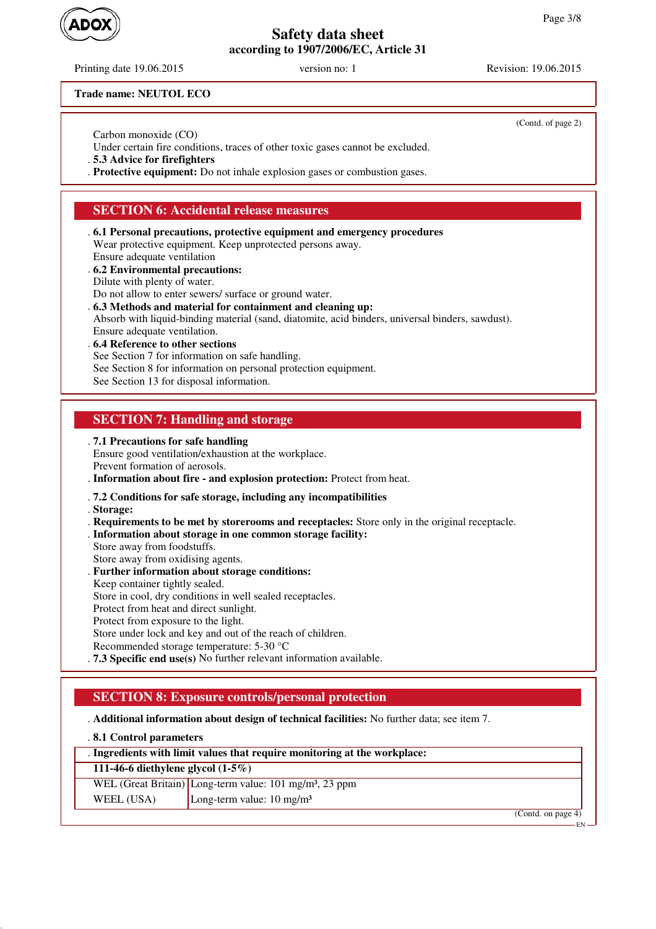Printing date 19.06.2015 version no: 1 Revision: 19.06.2015

(Contd. of page 2)

**Trade name: NEUTOL ECO**

Carbon monoxide (CO)

Under certain fire conditions, traces of other toxic gases cannot be excluded.

. **5.3 Advice for firefighters**

. **Protective equipment:** Do not inhale explosion gases or combustion gases.

# **SECTION 6: Accidental release measures**

- . **6.1 Personal precautions, protective equipment and emergency procedures** Wear protective equipment. Keep unprotected persons away. Ensure adequate ventilation
- . **6.2 Environmental precautions:**
- Dilute with plenty of water.
- Do not allow to enter sewers/ surface or ground water.
- . **6.3 Methods and material for containment and cleaning up:**
- Absorb with liquid-binding material (sand, diatomite, acid binders, universal binders, sawdust). Ensure adequate ventilation.
- . **6.4 Reference to other sections**
- See Section 7 for information on safe handling.
- See Section 8 for information on personal protection equipment.
- See Section 13 for disposal information.

# **SECTION 7: Handling and storage**

. **7.1 Precautions for safe handling**

Ensure good ventilation/exhaustion at the workplace. Prevent formation of aerosols.

. **Information about fire - and explosion protection:** Protect from heat.

## . **7.2 Conditions for safe storage, including any incompatibilities**

. **Storage:**

- . **Requirements to be met by storerooms and receptacles:** Store only in the original receptacle.
- . **Information about storage in one common storage facility:**
- Store away from foodstuffs.
- Store away from oxidising agents.
- . **Further information about storage conditions:**
- Keep container tightly sealed.
- Store in cool, dry conditions in well sealed receptacles.
- Protect from heat and direct sunlight.
- Protect from exposure to the light.

Store under lock and key and out of the reach of children.

- Recommended storage temperature: 5-30 °C
- . **7.3 Specific end use(s)** No further relevant information available.

# **SECTION 8: Exposure controls/personal protection**

. **Additional information about design of technical facilities:** No further data; see item 7.

| .8.1 Control parameters              |                                                                           |
|--------------------------------------|---------------------------------------------------------------------------|
|                                      | . Ingredients with limit values that require monitoring at the workplace: |
| 111-46-6 diethylene glycol $(1-5\%)$ |                                                                           |
|                                      | WEL (Great Britain) Long-term value: $101 \text{ mg/m}^3$ , 23 ppm        |
| WEEL (USA)                           | Long-term value: $10 \text{ mg/m}^3$                                      |
|                                      | (Contd. on page 4)                                                        |
|                                      |                                                                           |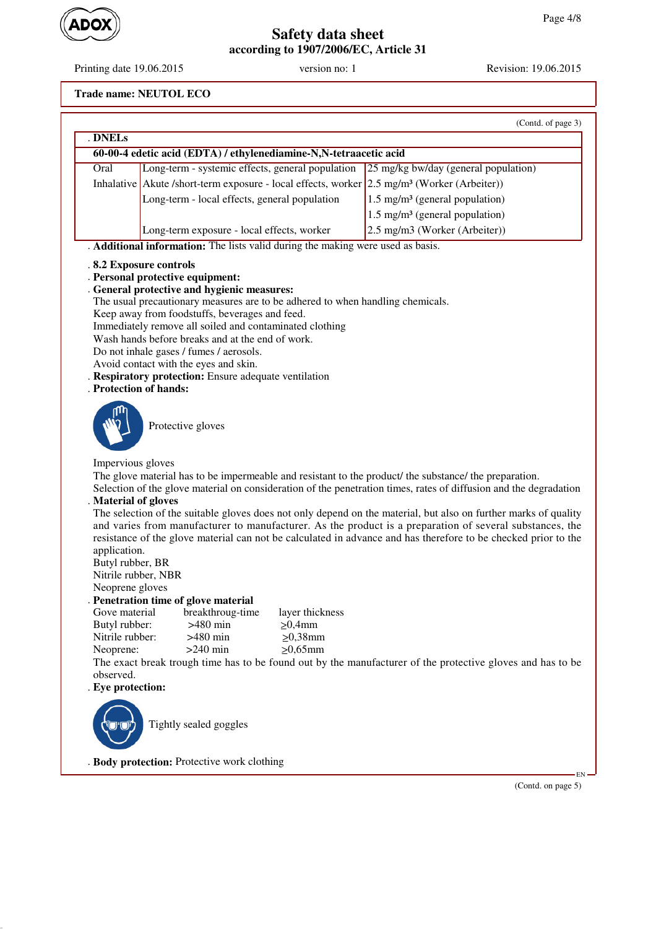

Printing date 19.06.2015 version no: 1 Revision: 19.06.2015

**Trade name: NEUTOL ECO**

|                                                                                                                                                                                                                             |                                                                                                                                                                                                                                                                                                                                                                                                                                                                                                                                | (Contd. of page 3)                                                                                                                                                                                                                                                                                                                                                                                                                                                                                                                                                               |
|-----------------------------------------------------------------------------------------------------------------------------------------------------------------------------------------------------------------------------|--------------------------------------------------------------------------------------------------------------------------------------------------------------------------------------------------------------------------------------------------------------------------------------------------------------------------------------------------------------------------------------------------------------------------------------------------------------------------------------------------------------------------------|----------------------------------------------------------------------------------------------------------------------------------------------------------------------------------------------------------------------------------------------------------------------------------------------------------------------------------------------------------------------------------------------------------------------------------------------------------------------------------------------------------------------------------------------------------------------------------|
| . DNELs                                                                                                                                                                                                                     |                                                                                                                                                                                                                                                                                                                                                                                                                                                                                                                                |                                                                                                                                                                                                                                                                                                                                                                                                                                                                                                                                                                                  |
|                                                                                                                                                                                                                             | 60-00-4 edetic acid (EDTA) / ethylenediamine-N,N-tetraacetic acid                                                                                                                                                                                                                                                                                                                                                                                                                                                              |                                                                                                                                                                                                                                                                                                                                                                                                                                                                                                                                                                                  |
| Oral                                                                                                                                                                                                                        | Long-term - systemic effects, general population                                                                                                                                                                                                                                                                                                                                                                                                                                                                               | 25 mg/kg bw/day (general population)                                                                                                                                                                                                                                                                                                                                                                                                                                                                                                                                             |
|                                                                                                                                                                                                                             | Inhalative Akute /short-term exposure - local effects, worker 2.5 mg/m <sup>3</sup> (Worker (Arbeiter))                                                                                                                                                                                                                                                                                                                                                                                                                        |                                                                                                                                                                                                                                                                                                                                                                                                                                                                                                                                                                                  |
|                                                                                                                                                                                                                             | Long-term - local effects, general population                                                                                                                                                                                                                                                                                                                                                                                                                                                                                  | $1.5 \text{ mg/m}^3$ (general population)                                                                                                                                                                                                                                                                                                                                                                                                                                                                                                                                        |
|                                                                                                                                                                                                                             |                                                                                                                                                                                                                                                                                                                                                                                                                                                                                                                                | $1.5 \text{ mg/m}^3$ (general population)                                                                                                                                                                                                                                                                                                                                                                                                                                                                                                                                        |
|                                                                                                                                                                                                                             | Long-term exposure - local effects, worker                                                                                                                                                                                                                                                                                                                                                                                                                                                                                     | 2.5 mg/m3 (Worker (Arbeiter))                                                                                                                                                                                                                                                                                                                                                                                                                                                                                                                                                    |
|                                                                                                                                                                                                                             | . Additional information: The lists valid during the making were used as basis.                                                                                                                                                                                                                                                                                                                                                                                                                                                |                                                                                                                                                                                                                                                                                                                                                                                                                                                                                                                                                                                  |
| . Protection of hands:                                                                                                                                                                                                      | .8.2 Exposure controls<br>. Personal protective equipment:<br>. General protective and hygienic measures:<br>The usual precautionary measures are to be adhered to when handling chemicals.<br>Keep away from foodstuffs, beverages and feed.<br>Immediately remove all soiled and contaminated clothing<br>Wash hands before breaks and at the end of work.<br>Do not inhale gases / fumes / aerosols.<br>Avoid contact with the eyes and skin.<br>. Respiratory protection: Ensure adequate ventilation<br>Protective gloves |                                                                                                                                                                                                                                                                                                                                                                                                                                                                                                                                                                                  |
| Impervious gloves<br>. Material of gloves<br>application.<br>Butyl rubber, BR<br>Nitrile rubber, NBR<br>Neoprene gloves<br>Gove material<br>Butyl rubber:<br>Nitrile rubber:<br>Neoprene:<br>observed.<br>. Eye protection: | The glove material has to be impermeable and resistant to the product/ the substance/ the preparation.<br>Penetration time of glove material<br>breakthroug-time<br>layer thickness<br>$>480$ min<br>$\geq 0,4$ mm<br>$>480$ min<br>$\geq 0,38$ mm<br>$\geq 0,65$ mm<br>$>240$ min                                                                                                                                                                                                                                             | Selection of the glove material on consideration of the penetration times, rates of diffusion and the degradation<br>The selection of the suitable gloves does not only depend on the material, but also on further marks of quality<br>and varies from manufacturer to manufacturer. As the product is a preparation of several substances, the<br>resistance of the glove material can not be calculated in advance and has therefore to be checked prior to the<br>The exact break trough time has to be found out by the manufacturer of the protective gloves and has to be |
|                                                                                                                                                                                                                             | Tightly sealed goggles<br>. Body protection: Protective work clothing                                                                                                                                                                                                                                                                                                                                                                                                                                                          | EN                                                                                                                                                                                                                                                                                                                                                                                                                                                                                                                                                                               |

(Contd. on page 5)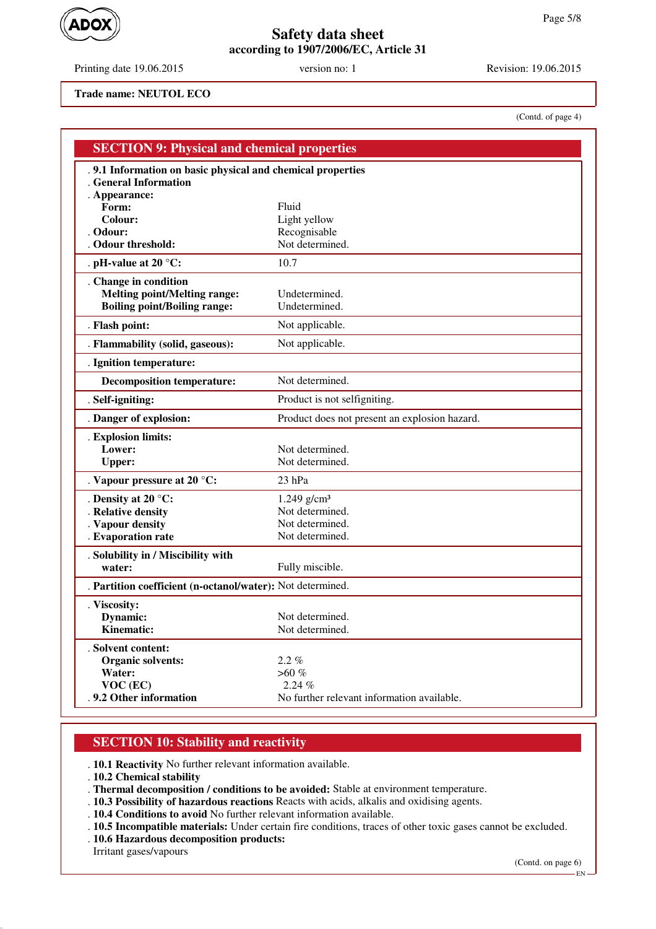Printing date 19.06.2015 version no: 1 Revision: 19.06.2015

(Contd. of page 4)

**Trade name: NEUTOL ECO**

| .9.1 Information on basic physical and chemical properties<br>. General Information<br>. Appearance:<br>Form:<br>Fluid<br>Colour:<br>Light yellow<br>Recognisable<br>. Odour:<br>Not determined.<br>Odour threshold:<br>10.7<br>. pH-value at 20 $^{\circ}$ C:<br>. Change in condition<br><b>Melting point/Melting range:</b><br>Undetermined.<br>Undetermined.<br><b>Boiling point/Boiling range:</b><br>. Flash point:<br>Not applicable.<br>. Flammability (solid, gaseous):<br>Not applicable.<br>. Ignition temperature:<br>Not determined.<br><b>Decomposition temperature:</b><br>. Self-igniting:<br>Product is not selfigniting.<br>. Danger of explosion:<br>Product does not present an explosion hazard.<br>. Explosion limits:<br>Lower:<br>Not determined.<br>Not determined.<br><b>Upper:</b><br>. Vapour pressure at 20 °C:<br>$23$ hPa<br>$1.249$ g/cm <sup>3</sup><br>. Density at 20 $^{\circ}$ C:<br>Not determined.<br>. Relative density<br>Not determined.<br>. Vapour density<br>Not determined.<br>. Evaporation rate<br>. Solubility in / Miscibility with<br>Fully miscible.<br>water:<br>. Partition coefficient (n-octanol/water): Not determined.<br>. Viscosity:<br>Dynamic:<br>Not determined.<br>Kinematic:<br>Not determined.<br>. Solvent content: | <b>SECTION 9: Physical and chemical properties</b> |  |
|----------------------------------------------------------------------------------------------------------------------------------------------------------------------------------------------------------------------------------------------------------------------------------------------------------------------------------------------------------------------------------------------------------------------------------------------------------------------------------------------------------------------------------------------------------------------------------------------------------------------------------------------------------------------------------------------------------------------------------------------------------------------------------------------------------------------------------------------------------------------------------------------------------------------------------------------------------------------------------------------------------------------------------------------------------------------------------------------------------------------------------------------------------------------------------------------------------------------------------------------------------------------------------------|----------------------------------------------------|--|
|                                                                                                                                                                                                                                                                                                                                                                                                                                                                                                                                                                                                                                                                                                                                                                                                                                                                                                                                                                                                                                                                                                                                                                                                                                                                                        |                                                    |  |
|                                                                                                                                                                                                                                                                                                                                                                                                                                                                                                                                                                                                                                                                                                                                                                                                                                                                                                                                                                                                                                                                                                                                                                                                                                                                                        |                                                    |  |
|                                                                                                                                                                                                                                                                                                                                                                                                                                                                                                                                                                                                                                                                                                                                                                                                                                                                                                                                                                                                                                                                                                                                                                                                                                                                                        |                                                    |  |
|                                                                                                                                                                                                                                                                                                                                                                                                                                                                                                                                                                                                                                                                                                                                                                                                                                                                                                                                                                                                                                                                                                                                                                                                                                                                                        |                                                    |  |
|                                                                                                                                                                                                                                                                                                                                                                                                                                                                                                                                                                                                                                                                                                                                                                                                                                                                                                                                                                                                                                                                                                                                                                                                                                                                                        |                                                    |  |
|                                                                                                                                                                                                                                                                                                                                                                                                                                                                                                                                                                                                                                                                                                                                                                                                                                                                                                                                                                                                                                                                                                                                                                                                                                                                                        |                                                    |  |
|                                                                                                                                                                                                                                                                                                                                                                                                                                                                                                                                                                                                                                                                                                                                                                                                                                                                                                                                                                                                                                                                                                                                                                                                                                                                                        |                                                    |  |
|                                                                                                                                                                                                                                                                                                                                                                                                                                                                                                                                                                                                                                                                                                                                                                                                                                                                                                                                                                                                                                                                                                                                                                                                                                                                                        |                                                    |  |
|                                                                                                                                                                                                                                                                                                                                                                                                                                                                                                                                                                                                                                                                                                                                                                                                                                                                                                                                                                                                                                                                                                                                                                                                                                                                                        |                                                    |  |
|                                                                                                                                                                                                                                                                                                                                                                                                                                                                                                                                                                                                                                                                                                                                                                                                                                                                                                                                                                                                                                                                                                                                                                                                                                                                                        |                                                    |  |
|                                                                                                                                                                                                                                                                                                                                                                                                                                                                                                                                                                                                                                                                                                                                                                                                                                                                                                                                                                                                                                                                                                                                                                                                                                                                                        |                                                    |  |
|                                                                                                                                                                                                                                                                                                                                                                                                                                                                                                                                                                                                                                                                                                                                                                                                                                                                                                                                                                                                                                                                                                                                                                                                                                                                                        |                                                    |  |
|                                                                                                                                                                                                                                                                                                                                                                                                                                                                                                                                                                                                                                                                                                                                                                                                                                                                                                                                                                                                                                                                                                                                                                                                                                                                                        |                                                    |  |
|                                                                                                                                                                                                                                                                                                                                                                                                                                                                                                                                                                                                                                                                                                                                                                                                                                                                                                                                                                                                                                                                                                                                                                                                                                                                                        |                                                    |  |
|                                                                                                                                                                                                                                                                                                                                                                                                                                                                                                                                                                                                                                                                                                                                                                                                                                                                                                                                                                                                                                                                                                                                                                                                                                                                                        |                                                    |  |
|                                                                                                                                                                                                                                                                                                                                                                                                                                                                                                                                                                                                                                                                                                                                                                                                                                                                                                                                                                                                                                                                                                                                                                                                                                                                                        |                                                    |  |
|                                                                                                                                                                                                                                                                                                                                                                                                                                                                                                                                                                                                                                                                                                                                                                                                                                                                                                                                                                                                                                                                                                                                                                                                                                                                                        |                                                    |  |
|                                                                                                                                                                                                                                                                                                                                                                                                                                                                                                                                                                                                                                                                                                                                                                                                                                                                                                                                                                                                                                                                                                                                                                                                                                                                                        |                                                    |  |
|                                                                                                                                                                                                                                                                                                                                                                                                                                                                                                                                                                                                                                                                                                                                                                                                                                                                                                                                                                                                                                                                                                                                                                                                                                                                                        |                                                    |  |
|                                                                                                                                                                                                                                                                                                                                                                                                                                                                                                                                                                                                                                                                                                                                                                                                                                                                                                                                                                                                                                                                                                                                                                                                                                                                                        |                                                    |  |
|                                                                                                                                                                                                                                                                                                                                                                                                                                                                                                                                                                                                                                                                                                                                                                                                                                                                                                                                                                                                                                                                                                                                                                                                                                                                                        |                                                    |  |
|                                                                                                                                                                                                                                                                                                                                                                                                                                                                                                                                                                                                                                                                                                                                                                                                                                                                                                                                                                                                                                                                                                                                                                                                                                                                                        |                                                    |  |
|                                                                                                                                                                                                                                                                                                                                                                                                                                                                                                                                                                                                                                                                                                                                                                                                                                                                                                                                                                                                                                                                                                                                                                                                                                                                                        |                                                    |  |
|                                                                                                                                                                                                                                                                                                                                                                                                                                                                                                                                                                                                                                                                                                                                                                                                                                                                                                                                                                                                                                                                                                                                                                                                                                                                                        |                                                    |  |
|                                                                                                                                                                                                                                                                                                                                                                                                                                                                                                                                                                                                                                                                                                                                                                                                                                                                                                                                                                                                                                                                                                                                                                                                                                                                                        |                                                    |  |
|                                                                                                                                                                                                                                                                                                                                                                                                                                                                                                                                                                                                                                                                                                                                                                                                                                                                                                                                                                                                                                                                                                                                                                                                                                                                                        |                                                    |  |
|                                                                                                                                                                                                                                                                                                                                                                                                                                                                                                                                                                                                                                                                                                                                                                                                                                                                                                                                                                                                                                                                                                                                                                                                                                                                                        |                                                    |  |
|                                                                                                                                                                                                                                                                                                                                                                                                                                                                                                                                                                                                                                                                                                                                                                                                                                                                                                                                                                                                                                                                                                                                                                                                                                                                                        |                                                    |  |
|                                                                                                                                                                                                                                                                                                                                                                                                                                                                                                                                                                                                                                                                                                                                                                                                                                                                                                                                                                                                                                                                                                                                                                                                                                                                                        |                                                    |  |
|                                                                                                                                                                                                                                                                                                                                                                                                                                                                                                                                                                                                                                                                                                                                                                                                                                                                                                                                                                                                                                                                                                                                                                                                                                                                                        |                                                    |  |
| $2.2 \%$<br><b>Organic solvents:</b>                                                                                                                                                                                                                                                                                                                                                                                                                                                                                                                                                                                                                                                                                                                                                                                                                                                                                                                                                                                                                                                                                                                                                                                                                                                   |                                                    |  |
| $>60 \%$<br>Water:                                                                                                                                                                                                                                                                                                                                                                                                                                                                                                                                                                                                                                                                                                                                                                                                                                                                                                                                                                                                                                                                                                                                                                                                                                                                     |                                                    |  |
| 2.24%<br>VOC (EC)                                                                                                                                                                                                                                                                                                                                                                                                                                                                                                                                                                                                                                                                                                                                                                                                                                                                                                                                                                                                                                                                                                                                                                                                                                                                      |                                                    |  |
| .9.2 Other information<br>No further relevant information available.                                                                                                                                                                                                                                                                                                                                                                                                                                                                                                                                                                                                                                                                                                                                                                                                                                                                                                                                                                                                                                                                                                                                                                                                                   |                                                    |  |

## **SECTION 10: Stability and reactivity**

. **10.1 Reactivity** No further relevant information available.

- . **10.2 Chemical stability**
- . **Thermal decomposition / conditions to be avoided:** Stable at environment temperature.
- . **10.3 Possibility of hazardous reactions** Reacts with acids, alkalis and oxidising agents.
- . **10.4 Conditions to avoid** No further relevant information available.
- . **10.5 Incompatible materials:** Under certain fire conditions, traces of other toxic gases cannot be excluded.
- . **10.6 Hazardous decomposition products:**

Irritant gases/vapours

(Contd. on page 6)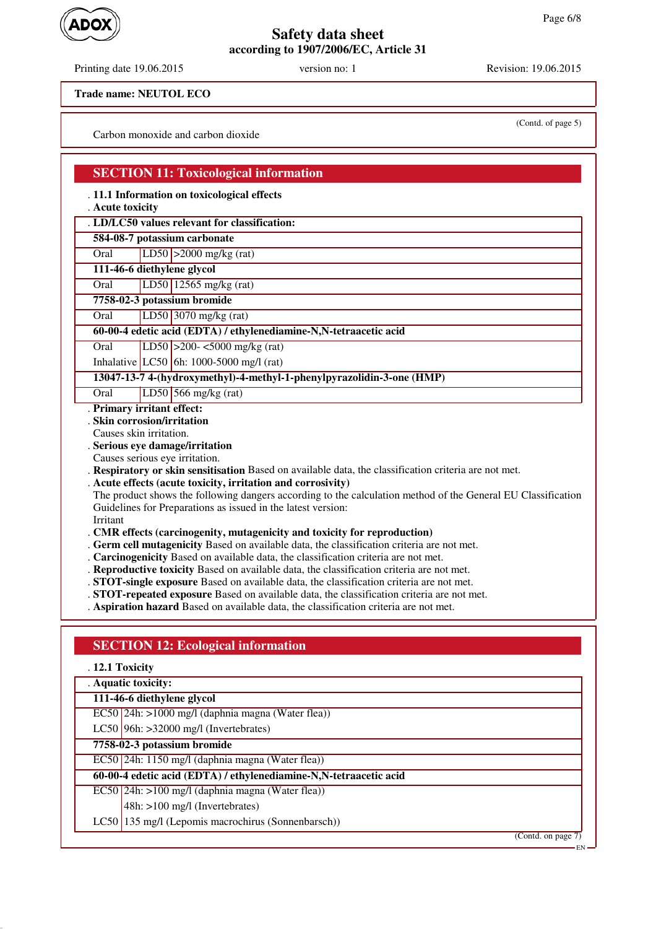Printing date 19.06.2015 version no: 1 Revision: 19.06.2015

(Contd. of page 5)

**Trade name: NEUTOL ECO**

Carbon monoxide and carbon dioxide

### **SECTION 11: Toxicological information**

. **11.1 Information on toxicological effects**

. **Acute toxicity**

. **LD/LC50 values relevant for classification:**

**584-08-7 potassium carbonate**

Oral LD50 >2000 mg/kg (rat)

**111-46-6 diethylene glycol**

Oral LD50 12565 mg/kg (rat)

**7758-02-3 potassium bromide**

Oral LD50 3070 mg/kg (rat)

#### **60-00-4 edetic acid (EDTA) / ethylenediamine-N,N-tetraacetic acid**

Oral LD50 >200- <5000 mg/kg (rat)

Inhalative LC50 6h: 1000-5000 mg/l (rat)

**13047-13-7 4-(hydroxymethyl)-4-methyl-1-phenylpyrazolidin-3-one (HMP)**

Oral LD50 566 mg/kg (rat)

. **Primary irritant effect:**

. **Skin corrosion/irritation**

Causes skin irritation.

. **Serious eye damage/irritation**

Causes serious eye irritation.

. **Respiratory or skin sensitisation** Based on available data, the classification criteria are not met.

. **Acute effects (acute toxicity, irritation and corrosivity)**

The product shows the following dangers according to the calculation method of the General EU Classification Guidelines for Preparations as issued in the latest version:

Irritant

. **CMR effects (carcinogenity, mutagenicity and toxicity for reproduction)**

- . **Germ cell mutagenicity** Based on available data, the classification criteria are not met.
- . **Carcinogenicity** Based on available data, the classification criteria are not met.
- . **Reproductive toxicity** Based on available data, the classification criteria are not met.
- . **STOT-single exposure** Based on available data, the classification criteria are not met.
- . **STOT-repeated exposure** Based on available data, the classification criteria are not met.

. **Aspiration hazard** Based on available data, the classification criteria are not met.

# **SECTION 12: Ecological information**

#### . **12.1 Toxicity**

. **Aquatic toxicity:**

**111-46-6 diethylene glycol**

EC50 24h: >1000 mg/l (daphnia magna (Water flea))

LC50 96h:  $>32000$  mg/l (Invertebrates)

## **7758-02-3 potassium bromide**

EC50 24h: 1150 mg/l (daphnia magna (Water flea))

#### **60-00-4 edetic acid (EDTA) / ethylenediamine-N,N-tetraacetic acid**

- EC50 24h: >100 mg/l (daphnia magna (Water flea))
	- 48h: >100 mg/l (Invertebrates)
- LC50 135 mg/l (Lepomis macrochirus (Sonnenbarsch))

(Contd. on page 7)

EN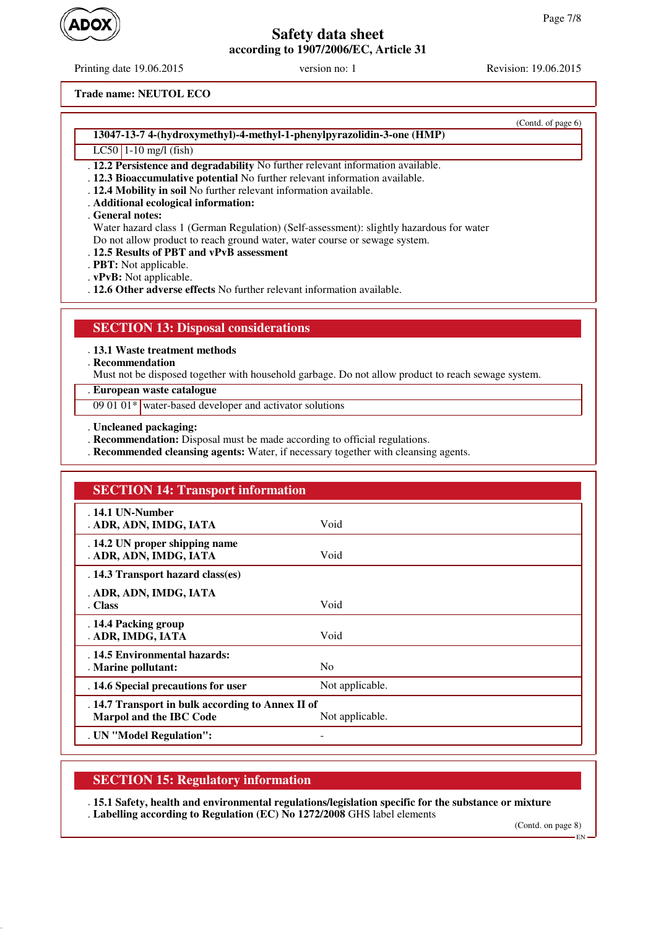Printing date 19.06.2015 version no: 1 Revision: 19.06.2015

(Contd. of page 6)

**Trade name: NEUTOL ECO**

### **13047-13-7 4-(hydroxymethyl)-4-methyl-1-phenylpyrazolidin-3-one (HMP)**

#### LC50 1-10 mg/l (fish)

- . **12.2 Persistence and degradability** No further relevant information available.
- . **12.3 Bioaccumulative potential** No further relevant information available.
- . **12.4 Mobility in soil** No further relevant information available.
- . **Additional ecological information:**

### . **General notes:**

Water hazard class 1 (German Regulation) (Self-assessment): slightly hazardous for water Do not allow product to reach ground water, water course or sewage system.

- . **12.5 Results of PBT and vPvB assessment**
- . **PBT:** Not applicable.
- . **vPvB:** Not applicable.
- . **12.6 Other adverse effects** No further relevant information available.

# **SECTION 13: Disposal considerations**

#### . **13.1 Waste treatment methods**

. **Recommendation**

Must not be disposed together with household garbage. Do not allow product to reach sewage system.

. **European waste catalogue**

09 01 01\* water-based developer and activator solutions

- . **Uncleaned packaging:**
- . **Recommendation:** Disposal must be made according to official regulations.
- . **Recommended cleansing agents:** Water, if necessary together with cleansing agents.

| <b>SECTION 14: Transport information</b>                                            |                 |
|-------------------------------------------------------------------------------------|-----------------|
| . 14.1 UN-Number<br>. ADR, ADN, IMDG, IATA                                          | Void            |
| . 14.2 UN proper shipping name<br>. ADR, ADN, IMDG, IATA                            | Void            |
| . 14.3 Transport hazard class(es)                                                   |                 |
| . ADR, ADN, IMDG, IATA<br>. Class                                                   | Void            |
| . 14.4 Packing group<br>. ADR, IMDG, IATA                                           | Void            |
| . 14.5 Environmental hazards:<br>. Marine pollutant:                                | N <sub>0</sub>  |
| . 14.6 Special precautions for user                                                 | Not applicable. |
| . 14.7 Transport in bulk according to Annex II of<br><b>Marpol and the IBC Code</b> | Not applicable. |
| . UN "Model Regulation":                                                            |                 |

# **SECTION 15: Regulatory information**

. **15.1 Safety, health and environmental regulations/legislation specific for the substance or mixture** . **Labelling according to Regulation (EC) No 1272/2008** GHS label elements

(Contd. on page 8)

EN